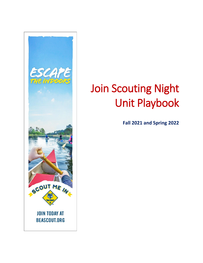

# Join Scouting Night Unit Playbook

**Fall 2021 and Spring 2022**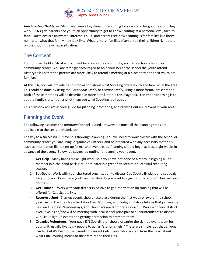

*Join Scouting Nights*, or JSNs, have been a keystone for recruiting for years, and for good reason: They work! JSNs give parents and youth an opportunity to get to know Scouting at a personal level, face-toface. Questions are answered, interest is built, and parents see how Scouting is for families like theirs, no matter what that family may look like. What is more, families often enroll their children right there on the spot. It's a win-win situation.

# The Concept

Your unit will hold a JSN at a prominent location in the community, such as a school, church, or community center. You are strongly encouraged to hold your JSN at the school the youth attend. History tells us that the parents are more likely to attend a meeting at a place they and their youth are familiar.

At this JSN, you will provide basic information about what Scouting offers youth and families in the area. This could be done by using the *Rotational Model* or *Lecture Model*, using a more formal presentation. Both of these methods will be described in more detail later in this playbook. The important thing is to get the family's attention and let them see what Scouting is all about.

This playbook will act as your guide for planning, promoting, and carrying out a JSN event in your area.

## Planning the Event

The following assumes the *Rotational* Model is used. However, almost all the planning steps are applicable to the *Lecture* Model, too.

The key to a successful JSN event is thorough planning. You will need to work closely with the school or community center you are using, organize volunteers, and be prepared with any necessary materials such as information fliers, sign-up forms, and even treats. Planning should begin at least eight weeks in advance of the event. Below is a suggested outline for planning your event.

- 1. **Get Help** Many hands make light work, so if you have not done so already, assigning a unit membership chair and pack JSN Coordinator is a great first step to a successful recruiting season.
- 2. **Set Goals** Work with your chartered organization to discuss Cub Scout JSN plans and set goals for your pack. How many youth and families do you want to sign up for Scouting? How will you do that?
- 3. **Get Trained** Work with your district executive to get information on training that will be offered for Cub Scout JSNs.
- 4. **Reserve a Spot** Sign-up events should take place during the first week or two of the school year. Avoid the Tuesday after Labor Day, Mondays, and Fridays. History tells us that join events held on Tuesdays, Wednesdays, and Thursdays are far more successful. Work with your district executive, as he/she will be meeting with local school principals or superintendents to discuss Cub Scout sign-up events and getting permission to promote them.
- 5. **Organize Volunteers** Your pack JSN Coordinator should organize the sign-up event team for your unit, usually five to six people to act as "station chiefs." These are simple jobs that anyone can fill, but it's best to use parents of current Cub Scouts who can talk from the heart about what Cub Scouting means to their family and their kids.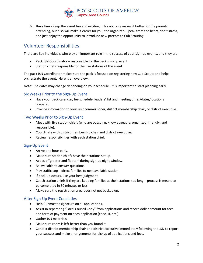

6. **Have Fun** - Keep the event fun and exciting. This not only makes it better for the parents attending, but also will make it easier for you, the organizer. Speak from the heart, don't stress, and just enjoy the opportunity to introduce new parents to Cub Scouting.

# Volunteer Responsibilities

There are key individuals who play an important role in the success of your sign-up events, and they are:

- Pack JSN Coordinator responsible for the pack sign-up event
- Station chiefs responsible for the five stations of the event.

The pack JSN Coordinator makes sure the pack is focused on registering new Cub Scouts and helps orchestrate the event. Here is an overview.

Note: The dates may change depending on your schedule. It is important to start planning early.

## Six Weeks Prior to the Sign-Up Event

- Have your pack calendar, fee schedule, leaders' list and meeting times/dates/locations prepared.
- Provide information to your unit commissioner, district membership chair, or district executive.

#### Two Weeks Prior to Sign-Up Event

- Meet with five station chiefs (who are outgoing, knowledgeable, organized, friendly, and responsible).
- Coordinate with district membership chair and district executive.
- Review responsibilities with each station chief.

## Sign-Up Event

- Arrive one hour early.
- Make sure station chiefs have their stations set up.
- Act as a "greeter and floater" during sign-up night window.
- Be available to answer questions.
- Play traffic cop direct families to next available station.
- If back-up occurs, use your best judgment.
- Coach station chiefs if they are keeping families at their stations too long process is meant to be completed in 30 minutes or less.
- Make sure the registration area does not get backed up.

## After Sign-Up Event Concludes

- Help Cubmaster signature on all applications.
- Assist in separating "Local Council Copy" from applications and record dollar amount for fees and form of payment on each application (check #, etc.).
- Gather JSN materials.
- Make sure room is left better than you found it.
- Contact district membership chair and district executive immediately following the JSN to report your success and make arrangements for pickup of applications and fees.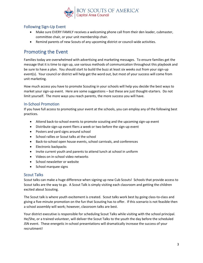

## Following Sign-Up Event

- Make sure EVERY FAMILY receives a welcoming phone call from their den leader, cubmaster, committee chair, or your unit membership chair.
- Remind parents of new Scouts of any upcoming district or council-wide activities.

## Promoting the Event

Families today are overwhelmed with advertising and marketing messages. To ensure families get the message that it is time to sign up, use various methods of communication throughout this playbook and be sure to have a plan. You should start to build the buzz at least six weeks out from your sign-up event(s). Your council or district will help get the word out, but most of your success will come from unit marketing.

How much access you have to promote Scouting in your schools will help you decide the best ways to market your sign-up event. Here are some suggestions – but these are just thought-starters. Do not limit yourself. The more ways you reach parents, the more success you will have.

## In-School Promotion

If you have full access to promoting your event at the schools, you can employ any of the following best practices.

- Attend back-to-school events to promote scouting and the upcoming sign-up event
- Distribute sign-up event fliers a week or two before the sign-up event
- Posters and yard signs around school
- School rallies or Scout talks at the school
- Back-to-school open house events, school carnivals, and conferences
- Electronic backpacks
- Invite current youth and parents to attend lunch at school in uniform
- Videos on in-school video networks
- School newsletter or website
- School marquee signs

#### Scout Talks

Scout talks can make a huge difference when signing up new Cub Scouts! Schools that provide access to Scout talks are the way to go. A Scout Talk is simply visiting each classroom and getting the children excited about Scouting.

The Scout talk is where youth excitement is created. Scout talks work best by going class-to-class and giving a five-minute promotion on the fun that Scouting has to offer. If this scenario is not feasible then a school assembly will work; however, classroom talks are best.

Your district executive is responsible for scheduling Scout Talks while visiting with the school principal. He/She, or a trained volunteer, will deliver the Scout Talks to the youth the day before the scheduled JSN event. These energetic in-school presentations will dramatically increase the success of your recruitment!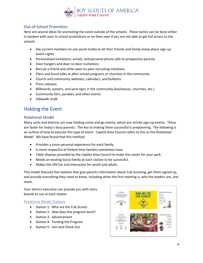

## Out-of-School Promotion

Here are several ideas for promoting the event outside of the schools. These tactics can be done either in tandem with your in-school promotions or on their own if you are not able to get full access to the schools.

- Ask current members to use social media to let their friends and family know about sign-up event nights
- Personalized invitations, emails, and personal phone calls to prospective parents
- Door hangers and door-to-door invitations
- Recruit-a-friend and other peer-to-peer recruiting initiatives
- Fliers and Scout talks at after-school programs or churches in the community
- Church and community websites, calendars, and bulletins
- Press releases
- Billboards, posters, and yard signs in the community (businesses, churches, etc.)
- Community fairs, parades, and other events
- Sidewalk chalk

# Holding the Event

## Rotational Model

Many units and districts are now holding come-and-go events, which are strictly sign-up events. These are faster for today's busy parents. The key to making them successful is preplanning. The following is an outline of how to execute this type of event. Capitol Area Council refers to this as the *Rotational Model.* We have found that this method:

- Provides a more personal experience for each family.
- Is more respectful of limited time families sometimes have.
- Table displays provided by the Capitol Area Council to make this easier for your pack.
- Needs an existing Scout family at each station to be successful.
- Makes the JSN fun and interactive for youth and adults.

This model features five stations that give parents information about Cub Scouting, get them signed up, and provide everything they need to know, including when the first meeting is, who the leaders are, and more.

Your district executive can provide you with story boards to use at each station.

#### Rotational Model Stations

- Station 1: Who are the Cub Scouts
- Station 2: How does the program work?
- Station 3: Advancement
- Station 4: Funding the Program
- Station 5: Join and Check Out

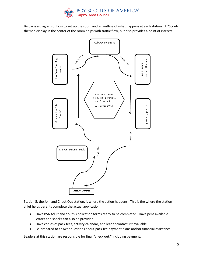

Below is a diagram of how to set up the room and an outline of what happens at each station. A "Scoutthemed display in the center of the room helps with traffic flow, but also provides a point of interest.



Station 5, the Join and Check Out station, is where the action happens. This is the where the station chief helps parents complete the actual application.

- Have BSA Adult and Youth Application forms ready to be completed. Have pens available. Water and snacks can also be provided.
- Have copies of pack fees, activity calendar, and leader contact list available.
- Be prepared to answer questions about pack fee payment plans and/or financial assistance.

Leaders at this station are responsible for final "check out," including payment.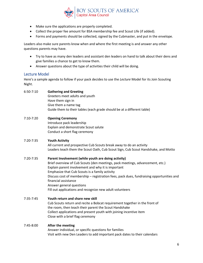

- Make sure the applications are properly completed.
- Collect the proper fee amount for BSA membership fee and Scout Life (if added).
- Forms and payments should be collected, signed by the Cubmaster, and put in the envelope.

Leaders also make sure parents know when and where the first meeting is and answer any other questions parents may have.

- Try to have as many den leaders and assistant den leaders on hand to talk about their dens and give families a chance to get to know them.
- Answer questions about the type of activities their child will be doing.

## Lecture Model

Here's a sample agenda to follow if your pack decides to use the *Lecture* Model for its Join Scouting Night.

#### 6:50-7:10 **Gathering and Greeting** Greeters meet adults and youth Have them sign in Give them a name tag Guide them to their tables (each grade should be at a different table)

# 7:10-7:20 **Opening Ceremony**

Introduce pack leadership Explain and demonstrate Scout salute Conduct a short flag ceremony

#### 7:20-7:35 **Youth Activity**

All current and prospective Cub Scouts break away to do an activity Leaders teach them the Scout Oath, Cub Scout Sign, Cub Scout Handshake, and Motto

#### 7:20-7:35 **Parent Involvement (while youth are doing activity)**

Brief overview of Cub Scouts (den meetings, pack meetings, advancement, etc.) Explain parent involvement and why it is important Emphasize that Cub Scouts is a family activity Discuss cost of membership – registration fees, pack dues, fundraising opportunities and financial assistance Answer general questions Fill out applications and recognize new adult volunteers

#### 7:35-7:45 **Youth return and share new skill** Cub Scouts return and recite a Bobcat requirement together in the front of the room, then teach their parent the Scout Handshake Collect applications and present youth with joining incentive item Close with a brief flag ceremony

#### 7:45-8:00 **After the meeting**

Answer individual, or specific questions for families Visit with new Den Leaders to add important pack dates to their calendars